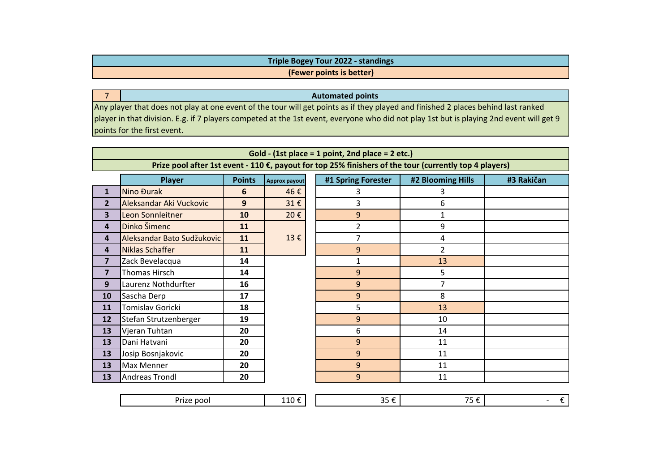| <b>Triple Bogey Tour 2022 - standings</b> |
|-------------------------------------------|
| (Fewer points is better)                  |

**Automated points**

 Any player that does not play at one event of the tour will get points as if they played and finished 2 places behind last ranked player in that division. E.g. if 7 players competed at the 1st event, everyone who did not play 1st but is playing 2nd event will get 9 points for the first event.

|                         |                            |               |               | Gold - (1st place = 1 point, 2nd place = 2 etc.) |                                                                                                        |            |  |  |
|-------------------------|----------------------------|---------------|---------------|--------------------------------------------------|--------------------------------------------------------------------------------------------------------|------------|--|--|
|                         |                            |               |               |                                                  | Prize pool after 1st event - 110 €, payout for top 25% finishers of the tour (currently top 4 players) |            |  |  |
|                         | <b>Player</b>              | <b>Points</b> | Approx payout | #1 Spring Forester                               | #2 Blooming Hills                                                                                      | #3 Rakičan |  |  |
| 1                       | Nino Đurak                 | 6             | 46€           | 3                                                | 3                                                                                                      |            |  |  |
| $\overline{2}$          | Aleksandar Aki Vuckovic    | 9             | 31€           | 3                                                | 6                                                                                                      |            |  |  |
| 3                       | Leon Sonnleitner           | 10            | 20€           | 9                                                | 1                                                                                                      |            |  |  |
| 4                       | Dinko Šimenc               | 11            |               | $\overline{2}$                                   | 9                                                                                                      |            |  |  |
| 4                       | Aleksandar Bato Sudžukovic | 11            | 13€           | $\overline{7}$                                   | 4                                                                                                      |            |  |  |
| 4                       | Niklas Schaffer            | 11            |               | 9                                                | $\overline{2}$                                                                                         |            |  |  |
| $\overline{\mathbf{z}}$ | Zack Bevelacqua            | 14            |               | 1                                                | 13                                                                                                     |            |  |  |
| $\overline{7}$          | Thomas Hirsch              | 14            |               | 9                                                | 5                                                                                                      |            |  |  |
| 9                       | Laurenz Nothdurfter        | 16            |               | 9                                                | 7                                                                                                      |            |  |  |
| 10                      | Sascha Derp                | 17            |               | 9                                                | 8                                                                                                      |            |  |  |
| 11                      | Tomislav Goricki           | 18            |               | 5                                                | 13                                                                                                     |            |  |  |
| 12                      | Stefan Strutzenberger      | 19            |               | 9                                                | 10                                                                                                     |            |  |  |
| 13                      | Vjeran Tuhtan              | 20            |               | 6                                                | 14                                                                                                     |            |  |  |
| 13                      | Dani Hatvani               | 20            |               | 9                                                | 11                                                                                                     |            |  |  |
| 13                      | Josip Bosnjakovic          | 20            |               | 9                                                | 11                                                                                                     |            |  |  |
| 13                      | Max Menner                 | 20            |               | 9                                                | 11                                                                                                     |            |  |  |
| 13                      | Andreas Trondl             | 20            |               | 9                                                | 11                                                                                                     |            |  |  |
|                         |                            |               |               |                                                  |                                                                                                        |            |  |  |

|  |  | $\mathbf{r}$<br>pool<br>ا ۱۷ | . | - -<br>-- | _<br>. . |  |
|--|--|------------------------------|---|-----------|----------|--|
|--|--|------------------------------|---|-----------|----------|--|

7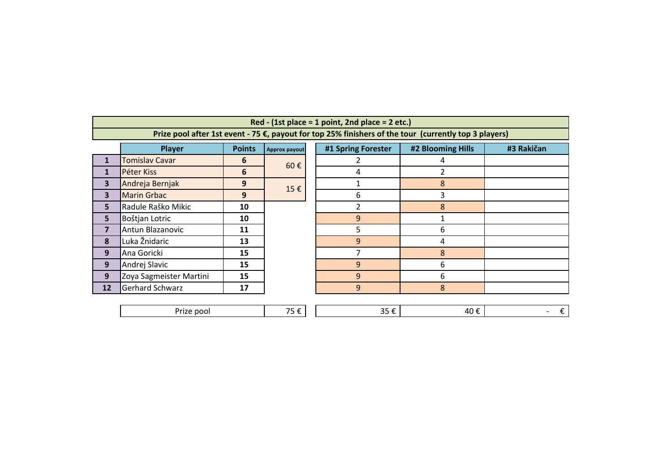|                         |                                |    |                                                                                                                                                                   | Red - $(1st place = 1 point, 2nd place = 2 etc.)$ |                |            |  |
|-------------------------|--------------------------------|----|-------------------------------------------------------------------------------------------------------------------------------------------------------------------|---------------------------------------------------|----------------|------------|--|
|                         | <b>Player</b><br><b>Points</b> |    | Prize pool after 1st event - 75 €, payout for top 25% finishers of the tour (currently top 3 players)<br>#1 Spring Forester<br>#2 Blooming Hills<br>Approx payout |                                                   |                |            |  |
|                         | <b>Tomislav Cavar</b>          | 6  |                                                                                                                                                                   | 2                                                 | 4              | #3 Rakičan |  |
| $\mathbf{1}$            | Péter Kiss                     | 6  | 60€                                                                                                                                                               | 4                                                 | $\overline{2}$ |            |  |
| 3                       | Andreja Bernjak                | 9  |                                                                                                                                                                   |                                                   | 8              |            |  |
| 3                       | <b>Marin Grbac</b>             | 9  | 15€                                                                                                                                                               | 6                                                 | 3              |            |  |
| 5                       | Radule Raško Mikic             | 10 |                                                                                                                                                                   | $\overline{2}$                                    | 8              |            |  |
| 5                       | Boštjan Lotric                 | 10 |                                                                                                                                                                   | 9                                                 |                |            |  |
| $\overline{\mathbf{z}}$ | Antun Blazanovic               | 11 |                                                                                                                                                                   | 5                                                 | 6              |            |  |
| 8                       | Luka Žnidaric                  | 13 |                                                                                                                                                                   | 9                                                 | 4              |            |  |
| 9                       | Ana Goricki                    | 15 |                                                                                                                                                                   | 7                                                 | 8              |            |  |
| 9                       | Andrej Slavic                  | 15 |                                                                                                                                                                   | 9                                                 | 6              |            |  |
| 9                       | Zoya Sagmeister Martini        | 15 |                                                                                                                                                                   | 9                                                 | 6              |            |  |
| 12                      | <b>Gerhard Schwarz</b>         | 17 |                                                                                                                                                                   | 9                                                 | 8              |            |  |
|                         |                                |    |                                                                                                                                                                   |                                                   |                |            |  |
|                         | Prize pool                     |    | 75€                                                                                                                                                               | 35€                                               | 40€            |            |  |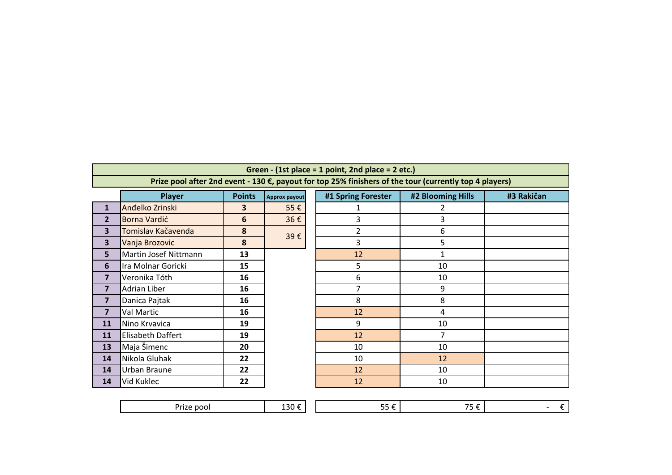## **Green - (1st place = 1 point, 2nd place = 2 etc.)**

**Prize pool after 2nd event - 130 €, payout for top 25% finishers of the tour (currently top 4 players)**

|                         | Player                   | <b>Points</b>           | Approx payout | #1 Spring Forester | #2 Bloomi      |
|-------------------------|--------------------------|-------------------------|---------------|--------------------|----------------|
| $\mathbf{1}$            | Anđelko Zrinski          | $\overline{\mathbf{3}}$ | 55€           |                    | 2              |
| $\overline{2}$          | Borna Vardić             | 6                       | 36€           | 3                  | 3              |
| 3                       | Tomislav Kačavenda       | 8                       | 39€           | 2                  | 6              |
| 3                       | Vanja Brozovic           | 8                       |               | 3                  | 5              |
| 5                       | Martin Josef Nittmann    | 13                      |               | 12                 | $\mathbf{1}$   |
| 6                       | Ira Molnar Goricki       | 15                      |               | 5                  | 10             |
| 7                       | Veronika Tóth            | 16                      |               | 6                  | 10             |
| 7                       | Adrian Liber             | 16                      |               | 7                  | 9              |
| $\overline{\mathbf{z}}$ | Danica Pajtak            | 16                      |               | 8                  | 8              |
| $\overline{7}$          | Val Martic               | 16                      |               | 12                 | $\overline{4}$ |
| 11                      | Nino Krvavica            | 19                      |               | 9                  | 10             |
| 11                      | <b>Elisabeth Daffert</b> | 19                      |               | 12                 | 7              |
| 13                      | Maja Šimenc              | 20                      |               | 10                 | 10             |
| 14                      | Nikola Gluhak            | 22                      |               | 10                 | 12             |
| 14                      | Urban Braune             | 22                      |               | 12                 | 10             |
| 14                      | Vid Kuklec               | 22                      |               | 12                 | 10             |

| ayer             | <b>Points</b>   | Approx payout | #1 Spring Forester | #2 Blooming Hills       | #3 Rakičan |
|------------------|-----------------|---------------|--------------------|-------------------------|------------|
| ski              | 3               | 55€           | 1                  | 2                       |            |
|                  | $6\phantom{1}6$ | 36€           | 3                  | 3                       |            |
| avenda           | $\pmb{8}$       | 39€           | $\overline{2}$     | 6                       |            |
| ic               | 8               |               | 3                  | 5                       |            |
| Nittmann         | 13              |               | 12                 | 1                       |            |
| oricki           | 15              |               | 5                  | 10                      |            |
| h                | 16              |               | 6                  | 10                      |            |
|                  | 16              |               | $\overline{7}$     | 9                       |            |
| $\left( \right)$ | 16              |               | 8                  | 8                       |            |
|                  | 16              |               | 12                 | $\overline{\mathbf{4}}$ |            |
|                  | 19              |               | 9                  | 10                      |            |
| fert             | 19              |               | 12                 | 7                       |            |
|                  | 20              |               | 10                 | 10                      |            |
| k                | 22              |               | 10                 | 12                      |            |
| e                | 22              |               | 12                 | 10                      |            |
|                  | 22              |               | 12                 | 10                      |            |
|                  |                 |               |                    |                         |            |

| ъ.<br>. .<br>______ | __ | __ | $ \cdot$ |  |
|---------------------|----|----|----------|--|
|                     |    |    |          |  |